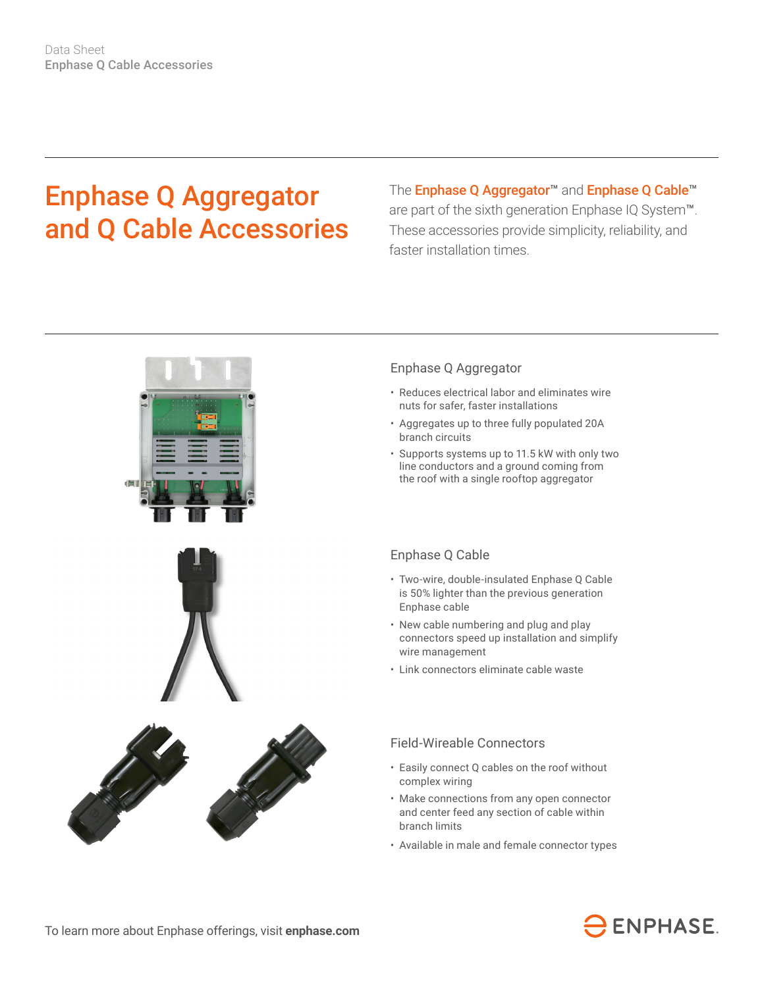# Enphase Q Aggregator and Q Cable Accessories

The Enphase Q Aggregator<sup>™</sup> and Enphase Q Cable<sup>™</sup> are part of the sixth generation Enphase IQ System™. These accessories provide simplicity, reliability, and faster installation times.



#### Enphase Q Aggregator

- Reduces electrical labor and eliminates wire nuts for safer, faster installations
- Aggregates up to three fully populated 20A branch circuits
- Supports systems up to 11.5 kW with only two line conductors and a ground coming from the roof with a single rooftop aggregator

#### Enphase Q Cable

- Two-wire, double-insulated Enphase Q Cable is 50% lighter than the previous generation Enphase cable
- New cable numbering and plug and play connectors speed up installation and simplify wire management
- Link connectors eliminate cable waste

#### Field-Wireable Connectors

- Easily connect Q cables on the roof without complex wiring
- Make connections from any open connector and center feed any section of cable within branch limits
- Available in male and female connector types